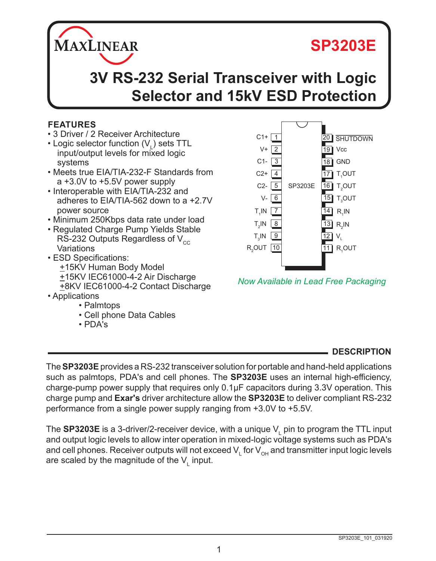# **SP3203E**



#### **FEATURES**

• 3 Driver / 2 Receiver Architecture

**MAXLINEAR** 

- Logic selector function  $(V<sub>L</sub>)$  sets TTL input/output levels for mixed logic systems
- Meets true EIA/TIA-232-F Standards from a +3.0V to +5.5V power supply
- Interoperable with EIA/TIA-232 and adheres to EIA/TIA-562 down to a +2.7V power source
- Minimum 250Kbps data rate under load
- Regulated Charge Pump Yields Stable RS-232 Outputs Regardless of  $V_{cc}$ Variations
- ESD Specifications: +15KV Human Body Model +15KV IEC61000-4-2 Air Discharge +8KV IEC61000-4-2 Contact Discharge
- Applications
	- Palmtops
	- Cell phone Data Cables
	- PDA's



*Now Available in Lead Free Packaging*

#### **DESCRIPTION**

The **SP3203E** provides a RS-232 transceiver solution for portable and hand-held applications such as palmtops, PDA's and cell phones. The **SP3203E** uses an internal high-efficiency, charge-pump power supply that requires only 0.1µF capacitors during 3.3V operation. This charge pump and **Exar's** driver architecture allow the **SP3203E** to deliver compliant RS-232 performance from a single power supply ranging from +3.0V to +5.5V.

The **SP3203E** is a 3-driver/2-receiver device, with a unique  $\mathsf{V}_{\mathsf{L}}$  pin to program the TTL input and output logic levels to allow inter operation in mixed-logic voltage systems such as PDA's and cell phones. Receiver outputs will not exceed  $\mathsf{V}_{\llcorner}$  for  $\mathsf{V}_{\mathsf{OH}}$  and transmitter input logic levels are scaled by the magnitude of the  $\mathsf{V}_{\mathsf{L}}$  input.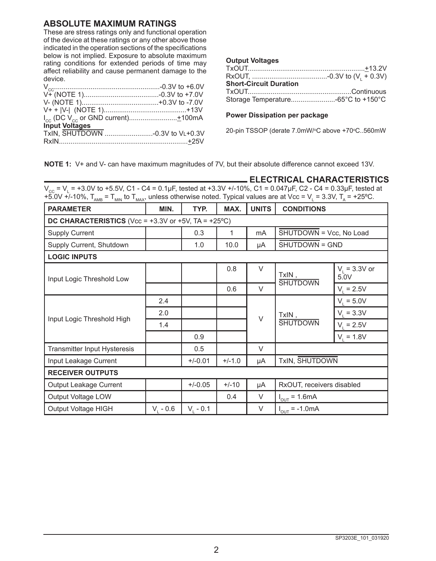#### **ABSOLUTE MAXIMUM RATINGS**

These are stress ratings only and functional operation of the device at these ratings or any other above those indicated in the operation sections of the specifications below is not implied. Exposure to absolute maximum rating conditions for extended periods of time may affect reliability and cause permanent damage to the device.

| Input Voltages |  |
|----------------|--|
|                |  |
|                |  |

|  | <b>Output Voltages</b> |
|--|------------------------|
|--|------------------------|

| <b>Short-Circuit Duration</b>      |  |
|------------------------------------|--|
|                                    |  |
| Storage Temperature-65°C to +150°C |  |

#### **Power Dissipation per package**

20-pin TSSOP (derate 7.0mW/°C above +70°C..560mW

**NOTE 1:** V+ and V- can have maximum magnitudes of 7V, but their absolute difference cannot exceed 13V.

|                                                                                                                                                                            | L ELECTRICAL CHARACTERISTICS |
|----------------------------------------------------------------------------------------------------------------------------------------------------------------------------|------------------------------|
| $V_{cc}$ = V <sub>1</sub> = +3.0V to +5.5V, C1 - C4 = 0.1µF, tested at +3.3V +/-10%, C1 = 0.047µF, C2 - C4 = 0.33µF, tested at                                             |                              |
| +5.0V +/-10%, $T_{\text{amb}}$ = $T_{\text{min}}$ to $T_{\text{max}}$ , unless otherwise noted. Typical values are at Vcc = V <sub>1</sub> = 3.3V, T <sub>a</sub> = +25°C. |                              |

| <b>PARAMETER</b>                                                   | MIN.          | TYP.        | MAX.     | <b>UNITS</b> | <b>CONDITIONS</b>                           |                         |  |
|--------------------------------------------------------------------|---------------|-------------|----------|--------------|---------------------------------------------|-------------------------|--|
| DC CHARACTERISTICS (Vcc = $+3.3V$ or $+5V$ , TA = $+25^{\circ}$ C) |               |             |          |              |                                             |                         |  |
| <b>Supply Current</b>                                              |               | 0.3         | 1        | mA           | $\overline{\text{SHUTDOWN}}$ = Vcc, No Load |                         |  |
| Supply Current, Shutdown                                           |               | 1.0         | 10.0     | μA           | SHUTDOWN = GND                              |                         |  |
| <b>LOGIC INPUTS</b>                                                |               |             |          |              |                                             |                         |  |
| Input Logic Threshold Low                                          |               |             | 0.8      | $\vee$       | TxIN,<br><b>SHUTDOWN</b>                    | $V_1 = 3.3V$ or<br>5.0V |  |
|                                                                    |               |             | 0.6      | $\vee$       |                                             | $V_1 = 2.5V$            |  |
|                                                                    | 2.4           |             |          |              | TxIN,                                       | $V_1 = 5.0V$            |  |
| Input Logic Threshold High                                         | 2.0           |             |          | $\vee$       |                                             | $V_i = 3.3V$            |  |
|                                                                    | 1.4           |             |          |              | <b>SHUTDOWN</b>                             | $V_i = 2.5V$            |  |
|                                                                    |               | 0.9         |          |              |                                             |                         |  |
| Transmitter Input Hysteresis                                       |               | 0.5         |          | $\vee$       |                                             |                         |  |
| Input Leakage Current                                              |               | $+/-0.01$   | $+/-1.0$ | μA           | TxIN, SHUTDOWN                              |                         |  |
| <b>RECEIVER OUTPUTS</b>                                            |               |             |          |              |                                             |                         |  |
| Output Leakage Current                                             |               | $+/-0.05$   | $+/-10$  | μA           | RxOUT, receivers disabled                   |                         |  |
| Output Voltage LOW                                                 |               |             | 0.4      | V            | $I_{\text{OUT}} = 1.6 \text{mA}$            |                         |  |
| Output Voltage HIGH                                                | $V_{1} - 0.6$ | $V_1 - 0.1$ |          | V            | $I_{\text{OUT}} = -1.0 \text{mA}$           |                         |  |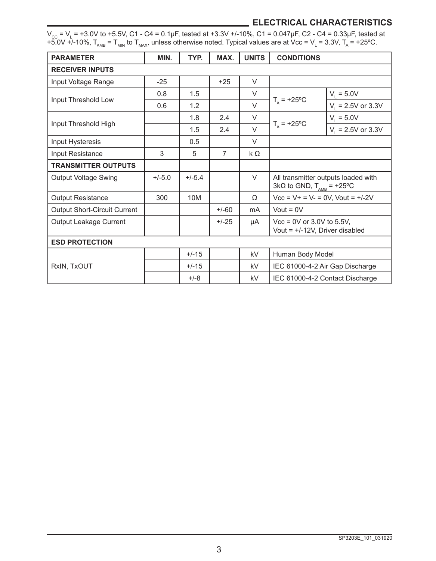## **ELECTRICAL CHARACTERISTICS**

 $\rm V_{\rm cc}$  = V<sub>L</sub> = +3.0V to +5.5V, C1 - C4 = 0.1µF, tested at +3.3V +/-10%, C1 = 0.047µF, C2 - C4 = 0.33µF, tested at +5.0V +/-10%,  $T_{_{\rm AMB}}$  =  $T_{_{\rm MMN}}$  to  $T_{_{\rm MAX}}$ , unless otherwise noted. Typical values are at Vcc = V<sub>L</sub> = 3.3V, T<sub>A</sub> = +25°C.

| <b>PARAMETER</b>                    | MIN.     | TYP.     | MAX.           | <b>UNITS</b> | <b>CONDITIONS</b>                                                                  |                                 |  |
|-------------------------------------|----------|----------|----------------|--------------|------------------------------------------------------------------------------------|---------------------------------|--|
| <b>RECEIVER INPUTS</b>              |          |          |                |              |                                                                                    |                                 |  |
| Input Voltage Range                 | $-25$    |          | $+25$          | $\vee$       |                                                                                    |                                 |  |
| Input Threshold Low                 | 0.8      | 1.5      |                | V            |                                                                                    | $V_1 = 5.0V$                    |  |
|                                     | 0.6      | 1.2      |                | $\vee$       | $T_{\rm A}$ = +25°C                                                                | $V_1 = 2.5V$ or 3.3V            |  |
| Input Threshold High                |          | 1.8      | 2.4            | $\vee$       |                                                                                    | $V_1 = 5.0V$                    |  |
|                                     |          | 1.5      | 2.4            | $\vee$       | $T_{\rm A}$ = +25°C                                                                | $V_1 = 2.5V$ or 3.3V            |  |
| Input Hysteresis                    |          | 0.5      |                | $\vee$       |                                                                                    |                                 |  |
| Input Resistance                    | 3        | 5        | $\overline{7}$ | $k \Omega$   |                                                                                    |                                 |  |
| <b>TRANSMITTER OUTPUTS</b>          |          |          |                |              |                                                                                    |                                 |  |
| <b>Output Voltage Swing</b>         | $+/-5.0$ | $+/-5.4$ |                | $\vee$       | All transmitter outputs loaded with<br>$3k\Omega$ to GND, $T_{\text{AMB}}$ = +25°C |                                 |  |
| <b>Output Resistance</b>            | 300      | 10M      |                | $\Omega$     | $Vcc = V + = V - = 0V$ , Vout = $+/-2V$                                            |                                 |  |
| <b>Output Short-Circuit Current</b> |          |          | $+/-60$        | mA           | Vout = $0V$                                                                        |                                 |  |
| <b>Output Leakage Current</b>       |          |          | $+/-25$        | μA           | $Vec = 0V$ or 3.0V to 5.5V,<br>Vout = $+/-12V$ , Driver disabled                   |                                 |  |
| <b>ESD PROTECTION</b>               |          |          |                |              |                                                                                    |                                 |  |
|                                     |          | $+/-15$  |                | kV           | Human Body Model                                                                   |                                 |  |
| RxIN, TxOUT                         |          | $+/-15$  |                | kV           |                                                                                    | IEC 61000-4-2 Air Gap Discharge |  |
|                                     |          | $+/-8$   |                | kV           | IEC 61000-4-2 Contact Discharge                                                    |                                 |  |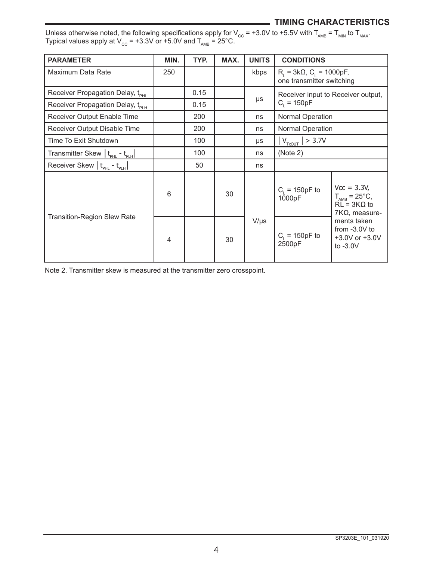## **TIMING CHARACTERISTICS**

| Unless otherwise noted, the following specifications apply for V <sub>cc</sub> = +3.0V to +5.5V with T <sub>AMB</sub> = T <sub>MIN</sub> to T <sub>MAX</sub> . |  |
|----------------------------------------------------------------------------------------------------------------------------------------------------------------|--|
| Typical values apply at V <sub>cc</sub> = +3.3V or +5.0V and T <sub>ang</sub> = 25°C.                                                                          |  |

| <b>PARAMETER</b>                                                  | MIN. | TYP. | MAX. | <b>UNITS</b> | <b>CONDITIONS</b>                                                |                                                                                                 |
|-------------------------------------------------------------------|------|------|------|--------------|------------------------------------------------------------------|-------------------------------------------------------------------------------------------------|
| Maximum Data Rate                                                 | 250  |      |      | kbps         | $R_1 = 3k\Omega$ , $C_1 = 1000pF$ ,<br>one transmitter switching |                                                                                                 |
| Receiver Propagation Delay, t <sub>PHL</sub>                      |      | 0.15 |      |              |                                                                  | Receiver input to Receiver output,                                                              |
| Receiver Propagation Delay, t <sub>PLH</sub>                      |      | 0.15 |      | μs           | $C_i = 150pF$                                                    |                                                                                                 |
| Receiver Output Enable Time                                       |      | 200  |      | ns           | Normal Operation                                                 |                                                                                                 |
| Receiver Output Disable Time                                      |      | 200  |      | ns           | <b>Normal Operation</b>                                          |                                                                                                 |
| Time To Exit Shutdown                                             |      | 100  |      | μs           | $ V_{T\times OUT}  > 3.7V$                                       |                                                                                                 |
| Transmitter Skew   t <sub>PHL</sub> - t <sub>PLH</sub>            |      | 100  |      | ns           | (Note 2)                                                         |                                                                                                 |
| Receiver Skew $\vert$ t <sub>PHL</sub> - t <sub>PLH</sub> $\vert$ |      | 50   |      | ns           |                                                                  |                                                                                                 |
|                                                                   | 6    |      | 30   |              | $C_1 = 150pF$ to<br>1000pF                                       | $Vcc = 3.3V,$<br>$T_{\text{AMB}} = 25^{\circ}C,$<br>$RL = 3K\Omega$ to<br>$7K\Omega$ , measure- |
| Transition-Region Slew Rate                                       | 4    |      | 30   | $V/\mu s$    | $C_1 = 150pF$ to<br>2500pF                                       | ments taken<br>from $-3.0V$ to<br>$+3.0V$ or $+3.0V$<br>to $-3.0V$                              |

Note 2. Transmitter skew is measured at the transmitter zero crosspoint.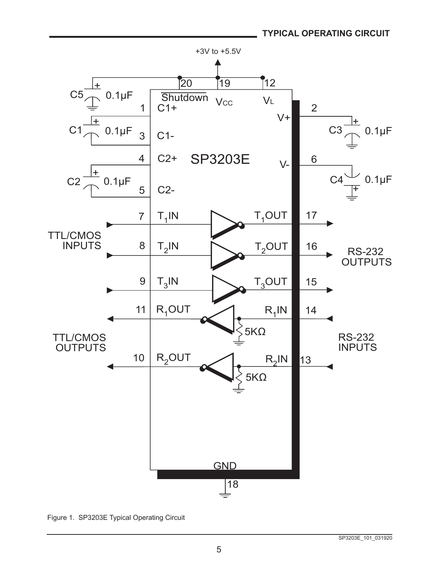

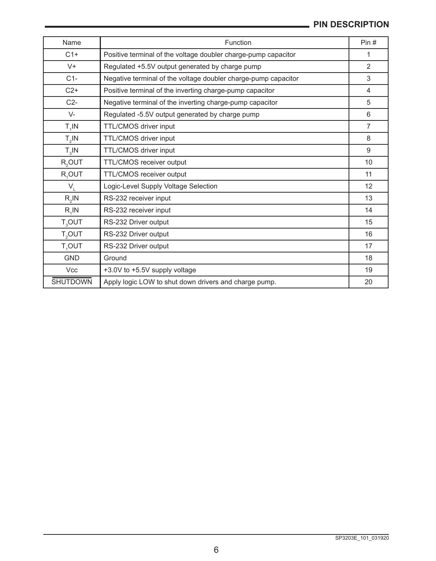## **PIN DESCRIPTION**

| Name               | Function                                                       | Pin#                    |
|--------------------|----------------------------------------------------------------|-------------------------|
| $C1+$              | Positive terminal of the voltage doubler charge-pump capacitor | 1                       |
| $V +$              | Regulated +5.5V output generated by charge pump                | $\overline{2}$          |
| $C1-$              | Negative terminal of the voltage doubler charge-pump capacitor | 3                       |
| $C2+$              | Positive terminal of the inverting charge-pump capacitor       | $\overline{\mathbf{4}}$ |
| $C2-$              | Negative terminal of the inverting charge-pump capacitor       | 5                       |
| $V -$              | Regulated -5.5V output generated by charge pump                | 6                       |
| $T_{4}$ IN         | TTL/CMOS driver input                                          | $\overline{7}$          |
| $T_{2}$ IN         | TTL/CMOS driver input                                          | 8                       |
| $T_{3}$ IN         | TTL/CMOS driver input                                          | 9                       |
| R <sub>2</sub> OUT | TTL/CMOS receiver output                                       | 10                      |
| R <sub>1</sub> OUT | TTL/CMOS receiver output                                       | 11                      |
| $V_{\perp}$        | Logic-Level Supply Voltage Selection                           | 12                      |
| $R,$ IN            | RS-232 receiver input                                          | 13                      |
| $R_1$ IN           | RS-232 receiver input                                          | 14                      |
| $T_{3}$ OUT        | RS-232 Driver output                                           | 15                      |
| T <sub>2</sub> OUT | RS-232 Driver output                                           | 16                      |
| T,OUT              | RS-232 Driver output                                           | 17                      |
| <b>GND</b>         | Ground                                                         | 18                      |
| <b>Vcc</b>         | +3.0V to +5.5V supply voltage                                  | 19                      |
| <b>SHUTDOWN</b>    | Apply logic LOW to shut down drivers and charge pump.          | 20                      |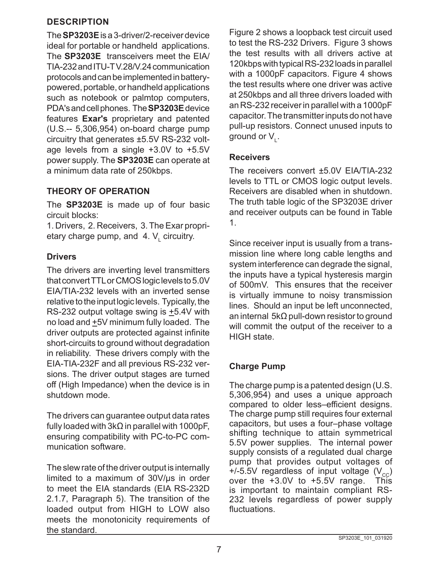## **DESCRIPTION**

The **SP3203E** is a 3-driver/2-receiver device ideal for portable or handheld applications. The **SP3203E** transceivers meet the EIA/ TIA-232 and ITU-T V.28/V.24 communication protocols and can be implemented in batterypowered, portable, or handheld applications such as notebook or palmtop computers, PDA's and cell phones. The **SP3203E** device features **Exar's** proprietary and patented (U.S.-- 5,306,954) on-board charge pump circuitry that generates ±5.5V RS-232 voltage levels from a single +3.0V to +5.5V power supply. The **SP3203E** can operate at a minimum data rate of 250kbps.

#### **THEORY OF OPERATION**

The **SP3203E** is made up of four basic circuit blocks:

1. Drivers, 2. Receivers, 3. The Exar proprietary charge pump, and 4. V<sub>∟</sub> circuitry.

## **Drivers**

The drivers are inverting level transmitters that convert TTL or CMOS logic levels to 5.0V EIA/TIA-232 levels with an inverted sense relative to the input logic levels. Typically, the RS-232 output voltage swing is  $\pm$ 5.4V with no load and +5V minimum fully loaded. The driver outputs are protected against infinite short-circuits to ground without degradation in reliability. These drivers comply with the EIA-TIA-232F and all previous RS-232 versions. The driver output stages are turned off (High Impedance) when the device is in shutdown mode.

The drivers can guarantee output data rates fully loaded with 3kΩ in parallel with 1000pF, ensuring compatibility with PC-to-PC communication software.

The slew rate of the driver output is internally limited to a maximum of 30V/µs in order to meet the EIA standards (EIA RS-232D 2.1.7, Paragraph 5). The transition of the loaded output from HIGH to LOW also meets the monotonicity requirements of the standard.

Figure 2 shows a loopback test circuit used to test the RS-232 Drivers. Figure 3 shows the test results with all drivers active at 120kbps with typical RS-232 loads in parallel with a 1000pF capacitors. Figure 4 shows the test results where one driver was active at 250kbps and all three drivers loaded with an RS-232 receiver in parallel with a 1000pF capacitor. The transmitter inputs do not have pull-up resistors. Connect unused inputs to ground or  $\mathsf{V}_{\mathsf{L}}$ .

#### **Receivers**

The receivers convert ±5.0V EIA/TIA-232 levels to TTL or CMOS logic output levels. Receivers are disabled when in shutdown. The truth table logic of the SP3203E driver and receiver outputs can be found in Table 1.

Since receiver input is usually from a transmission line where long cable lengths and system interference can degrade the signal, the inputs have a typical hysteresis margin of 500mV. This ensures that the receiver is virtually immune to noisy transmission lines. Should an input be left unconnected, an internal 5kΩ pull-down resistor to ground will commit the output of the receiver to a HIGH state.

## **Charge Pump**

The charge pump is a patented design (U.S. 5,306,954) and uses a unique approach compared to older less-efficient designs. The charge pump still requires four external capacitors, but uses a four–phase voltage shifting technique to attain symmetrical 5.5V power supplies. The internal power supply consists of a regulated dual charge pump that provides output voltages of +/-5.5V regardless of input voltage  $(V_{cc})$ over the +3.0V to +5.5V range. This is important to maintain compliant RS-232 levels regardless of power supply fluctuations.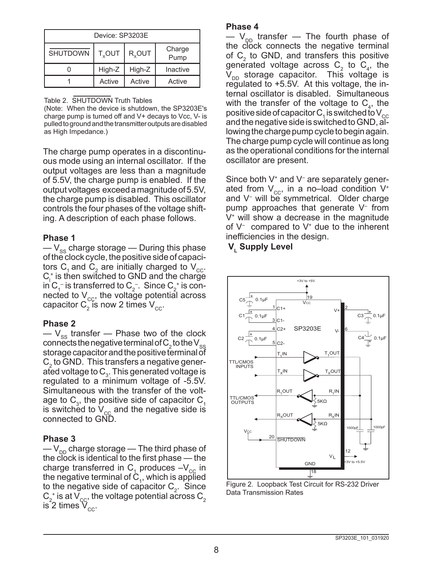| Device: SP3203F |                         |                    |                |  |  |  |
|-----------------|-------------------------|--------------------|----------------|--|--|--|
| <b>SHUTDOWN</b> | <b>T<sub>v</sub>OUT</b> | R <sub>y</sub> OUT | Charge<br>Pump |  |  |  |
|                 | High-Z                  | High-Z             | Inactive       |  |  |  |
|                 | Active                  | Active             | Active         |  |  |  |

Table 2. SHUTDOWN Truth Tables

(Note: When the device is shutdown, the SP3203E's charge pump is turned off and V+ decays to Vcc, V- is pulled to ground and the transmitter outputs are disabled as High Impedance.)

The charge pump operates in a discontinuous mode using an internal oscillator. If the output voltages are less than a magnitude of 5.5V, the charge pump is enabled. If the output voltages exceed a magnitude of 5.5V, the charge pump is disabled. This oscillator controls the four phases of the voltage shifting. A description of each phase follows.

#### **Phase 1**

 $-V_{\rm ss}$  charge storage — During this phase of the clock cycle, the positive side of capacitors C<sub>1</sub> and C<sub>2</sub> are initially charged to V<sub>cc</sub>.  $C_1^*$  is then switched to GND and the charge in C $_1^-$  is transferred to C $_2^-$  . Since C $_2^{\scriptscriptstyle +}$  is connected to  $V_{cc}$ , the voltage potential across capacitor  $\textsf{C}_2^{}$  is now 2 times  $\textsf{V}_{\rm cc}^{}$ .

#### **Phase 2**

 $-V_{ss}$  transfer — Phase two of the clock connects the negative terminal of  $\mathsf{C}_2$  to the  $\mathsf{V}_{\mathrm{ss}}$ storage capacitor and the positive terminal of  $C_2$  to GND. This transfers a negative generated voltage to  $C_3$ . This generated voltage is regulated to a minimum voltage of -5.5V. Simultaneous with the transfer of the voltage to  $\textsf{C}_{\scriptscriptstyle{3}}$ , the positive side of capacitor  $\textsf{C}_{\scriptscriptstyle{1}}$ is switched to  $V_{cc}$  and the negative side is connected to GND.

#### **Phase 3**

 $-V_{\text{DD}}$  charge storage — The third phase of the clock is identical to the first phase — the charge transferred in  $\textsf{C}_\text{\tiny{1}}$  produces  $-\textsf{V}_\text{\tiny{CC}}$  in the negative terminal of  $C_1$ , which is applied to the negative side of capacitor  $C_2$ . Since  $\mathsf{C}_2^+$  is at  $\mathsf{V}_{\text{cc}}^+$  the voltage potential across  $\mathsf{C}_2^+$ is 2 times  $\rm V_{cc}.$ 

#### **Phase 4**

 $-$  V<sub>DD</sub> transfer  $-$  The fourth phase of the clock connects the negative terminal of  $C_2$  to GND, and transfers this positive generated voltage across  $C_2$  to  $C_4$ , the  $V_{\text{DD}}$  storage capacitor. This voltage is regulated to +5.5V. At this voltage, the internal oscillator is disabled. Simultaneous with the transfer of the voltage to  $C_4$ , the positive side of capacitor C  $_1$  is switched to V  $_{\rm cc}$ and the negative side is switched to GND, allowing the charge pump cycle to begin again. The charge pump cycle will continue as long as the operational conditions for the internal oscillator are present.

Since both V<sup>+</sup> and V<sup>-</sup> are separately generated from  $V_{cc}$ , in a no–load condition  $V^*$ and V– will be symmetrical. Older charge pump approaches that generate V– from V+ will show a decrease in the magnitude of  $V^-$  compared to  $V^+$  due to the inherent inefficiencies in the design.

#### **V<sub>,</sub> Supply Level**



Figure 2. Loopback Test Circuit for RS-232 Driver Data Transmission Rates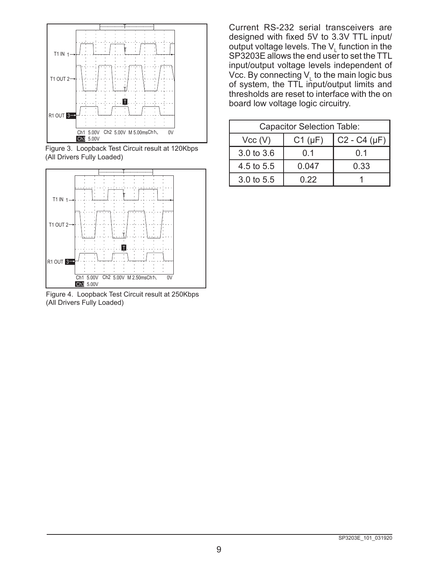

Figure 3. Loopback Test Circuit result at 120Kbps (All Drivers Fully Loaded)



Figure 4. Loopback Test Circuit result at 250Kbps (All Drivers Fully Loaded)

Current RS-232 serial transceivers are designed with fixed 5V to 3.3V TTL input/ output voltage levels. The  $V_{L}$  function in the SP3203E allows the end user to set the TTL input/output voltage levels independent of Vcc. By connecting  $V_{L}$  to the main logic bus of system, the TTL input/output limits and thresholds are reset to interface with the on board low voltage logic circuitry.

| <b>Capacitor Selection Table:</b> |             |                   |  |  |  |
|-----------------------------------|-------------|-------------------|--|--|--|
| Vcc (V)                           | $C1(\mu F)$ | $C2 - C4 (\mu F)$ |  |  |  |
| 3.0 to 3.6                        | 0.1         | ი 1               |  |  |  |
| 4.5 to 5.5                        | 0.047       | 0.33              |  |  |  |
| 3.0 to 5.5                        | Ი 22        |                   |  |  |  |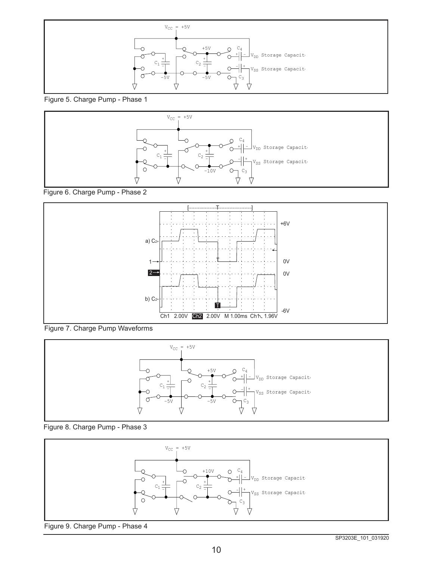

Figure 5. Charge Pump - Phase 1



Figure 6. Charge Pump - Phase 2



Figure 7. Charge Pump Waveforms





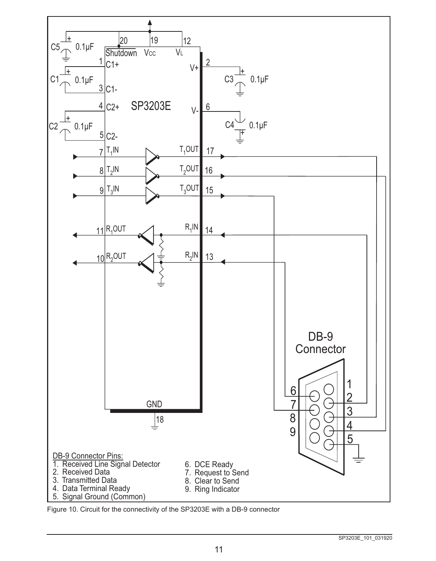

Figure 10. Circuit for the connectivity of the SP3203E with a DB-9 connector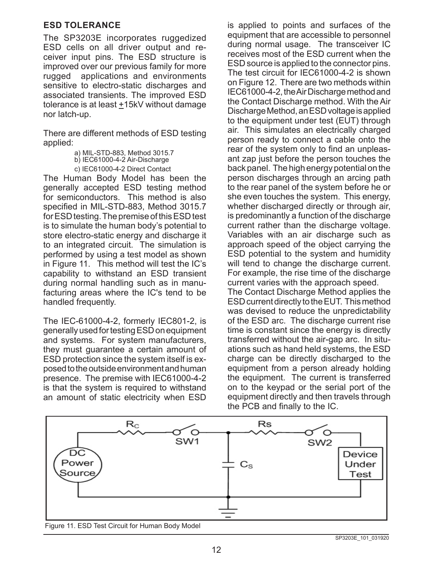#### **ESD TOLERANCE**

The SP3203E incorporates ruggedized ESD cells on all driver output and receiver input pins. The ESD structure is improved over our previous family for more rugged applications and environments sensitive to electro-static discharges and associated transients. The improved ESD tolerance is at least  $±15kV$  without damage nor latch-up.

There are different methods of ESD testing applied:

a) MIL-STD-883, Method 3015.7

b) IEC61000-4-2 Air-Discharge

c) IEC61000-4-2 Direct Contact

The Human Body Model has been the generally accepted ESD testing method for semiconductors. This method is also specified in MIL-STD-883, Method 3015.7 for ESD testing. The premise of this ESD test is to simulate the human body's potential to store electro-static energy and discharge it to an integrated circuit. The simulation is performed by using a test model as shown in Figure 11. This method will test the IC's capability to withstand an ESD transient during normal handling such as in manufacturing areas where the IC's tend to be handled frequently.

The IEC-61000-4-2, formerly IEC801-2, is generally used for testing ESD on equipment and systems. For system manufacturers, they must guarantee a certain amount of ESD protection since the system itself is exposed to the outside environment and human presence. The premise with IEC61000-4-2 is that the system is required to withstand an amount of static electricity when ESD

is applied to points and surfaces of the equipment that are accessible to personnel during normal usage. The transceiver IC receives most of the ESD current when the ESD source is applied to the connector pins. The test circuit for IEC61000-4-2 is shown on Figure 12. There are two methods within IEC61000-4-2, the Air Discharge method and the Contact Discharge method. With the Air Discharge Method, an ESD voltage is applied to the equipment under test (EUT) through air. This simulates an electrically charged person ready to connect a cable onto the rear of the system only to find an unpleasant zap just before the person touches the back panel. The high energy potential on the person discharges through an arcing path to the rear panel of the system before he or she even touches the system. This energy, whether discharged directly or through air, is predominantly a function of the discharge current rather than the discharge voltage. Variables with an air discharge such as approach speed of the object carrying the ESD potential to the system and humidity will tend to change the discharge current. For example, the rise time of the discharge current varies with the approach speed.

The Contact Discharge Method applies the ESD current directly to the EUT. This method was devised to reduce the unpredictability of the ESD arc. The discharge current rise time is constant since the energy is directly transferred without the air-gap arc. In situations such as hand held systems, the ESD charge can be directly discharged to the equipment from a person already holding the equipment. The current is transferred on to the keypad or the serial port of the equipment directly and then travels through the PCB and finally to the IC.



Figure 11. ESD Test Circuit for Human Body Model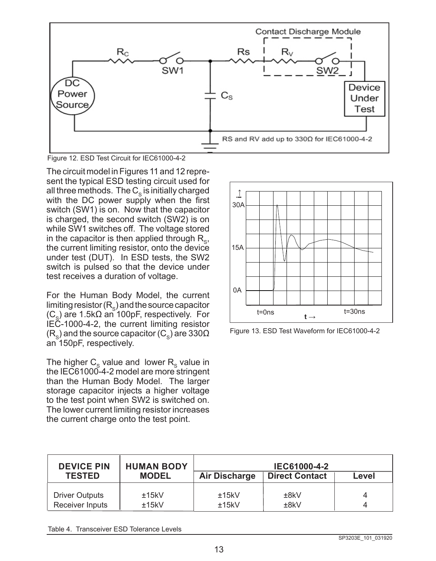

Figure 12. ESD Test Circuit for IEC61000-4-2

The circuit model in Figures 11 and 12 represent the typical ESD testing circuit used for all three methods. The  $C_{\rm s}$  is initially charged with the DC power supply when the first switch (SW1) is on. Now that the capacitor is charged, the second switch (SW2) is on while SW1 switches off. The voltage stored in the capacitor is then applied through  $R_{\rm s}$ , the current limiting resistor, onto the device under test (DUT). In ESD tests, the SW2 switch is pulsed so that the device under test receives a duration of voltage.

For the Human Body Model, the current limiting resistor  $(R_{\circ})$  and the source capacitor  $(C_{s})$  are 1.5k $\Omega$  an 100pF, respectively. For IEC-1000-4-2, the current limiting resistor  $(R<sub>s</sub>)$  and the source capacitor (C<sub>s</sub>) are 330 $\Omega$ an 150pF, respectively.

The higher  $C_s$  value and lower  $R_s$  value in the IEC61000-4-2 model are more stringent than the Human Body Model. The larger storage capacitor injects a higher voltage to the test point when SW2 is switched on. The lower current limiting resistor increases the current charge onto the test point.



Figure 13. ESD Test Waveform for IEC61000-4-2

| <b>DEVICE PIN</b><br><b>TESTED</b> | <b>HUMAN BODY</b><br><b>MODEL</b> | IEC61000-4-2<br><b>Direct Contact</b><br>Air Discharge<br>Level |      |   |  |
|------------------------------------|-----------------------------------|-----------------------------------------------------------------|------|---|--|
| <b>Driver Outputs</b>              | ±15kV                             | ±15kV                                                           | ±8kV | 4 |  |
| Receiver Inputs                    | ±15kV                             | ±15kV                                                           | ±8kV | 4 |  |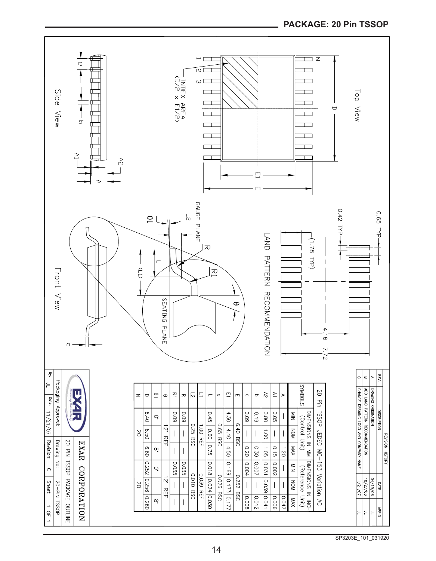

#### **PACKAGE: 20 Pin TSSOP**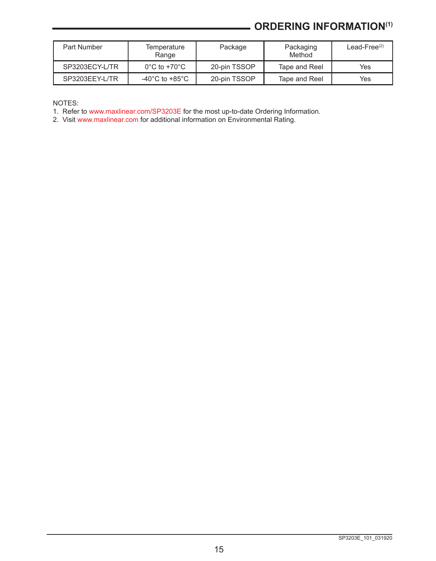## **ORDERING INFORMATION(1)**

| Part Number    | Temperature<br>Range              | Package      | Packaging<br>Method | Lead-Free $(2)$ |
|----------------|-----------------------------------|--------------|---------------------|-----------------|
| SP3203ECY-L/TR | $0^{\circ}$ C to +70 $^{\circ}$ C | 20-pin TSSOP | Tape and Reel       | Yes             |
| SP3203EEY-L/TR | -40°C to +85°C                    | 20-pin TSSOP | Tape and Reel       | Yes             |

NOTES:

1. Refer to [www.maxlinear.com/SP3203E](http://www.maxlinear.com/SP3203E) for the most up-to-date Ordering Information.

2. Visit [www.maxlinear.com](http://www.maxlinear.com) for additional information on Environmental Rating.